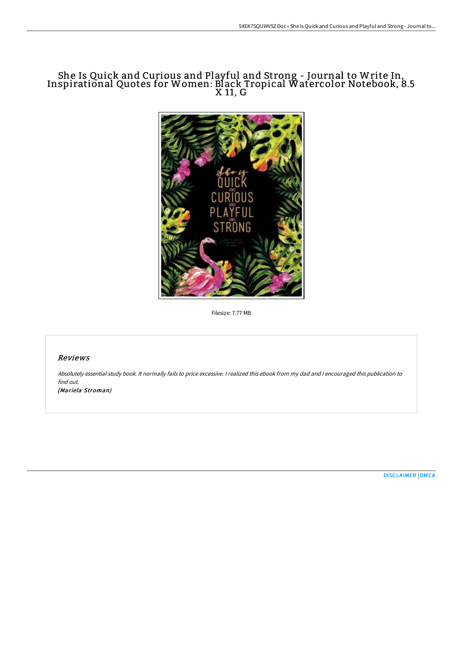# She Is Quick and Curious and Playful and Strong - Journal to Write In, Inspirational Quotes for Women: Black Tropical Watercolor Notebook, 8.5 X 11, G



Filesize: 7.77 MB

## Reviews

Absolutely essential study book. It normally fails to price excessive. <sup>I</sup> realized this ebook from my dad and i encouraged this publication to find out.

(Mariela Stroman)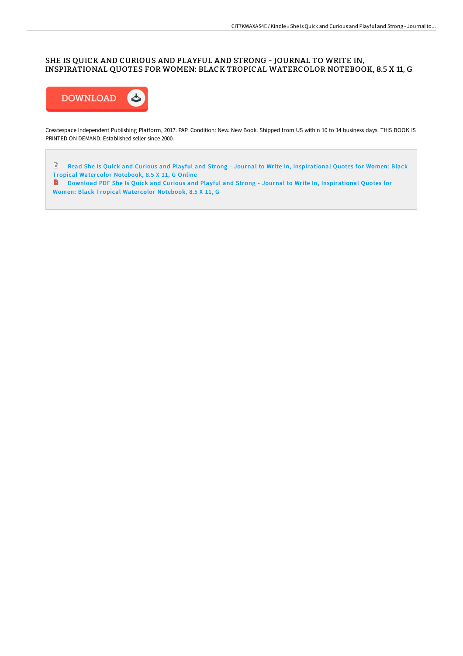## SHE IS QUICK AND CURIOUS AND PLAYFUL AND STRONG - JOURNAL TO WRITE IN, INSPIRATIONAL QUOTES FOR WOMEN: BLACK TROPICAL WATERCOLOR NOTEBOOK, 8.5 X 11, G



Createspace Independent Publishing Platform, 2017. PAP. Condition: New. New Book. Shipped from US within 10 to 14 business days. THIS BOOK IS PRINTED ON DEMAND. Established seller since 2000.

 $\ensuremath{\boxdot}$ Read She Is Quick and Curious and Playful and Strong - Journal to Write In, [Inspirational](http://bookera.tech/she-is-quick-and-curious-and-playful-and-strong-.html) Quotes for Women: Black Tropical Water color Notebook, 8.5 X 11, G Online

Download PDF She Is Quick and Curious and Playful and Strong - Journal to Write In, [Inspirational](http://bookera.tech/she-is-quick-and-curious-and-playful-and-strong-.html) Quotes for Women: Black Tropical Watercolor Notebook, 8.5 X 11, G